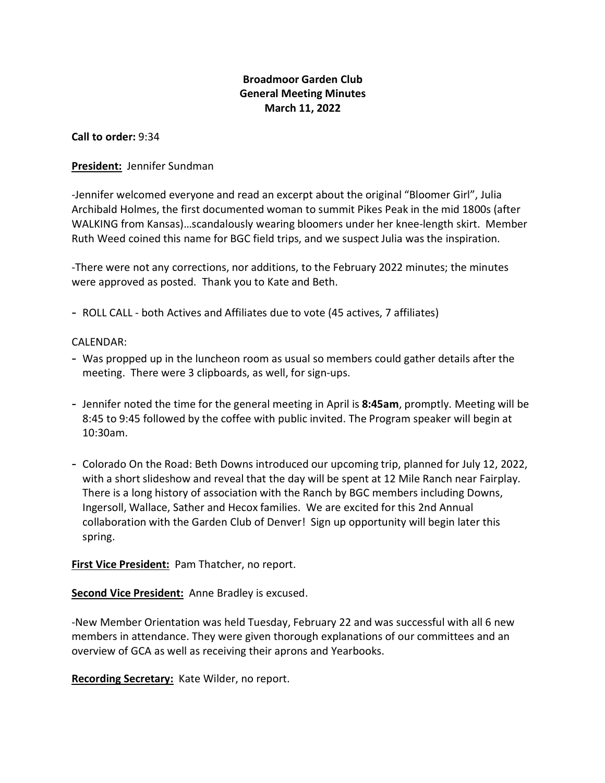# **Broadmoor Garden Club General Meeting Minutes March 11, 2022**

**Call to order:** 9:34

### **President:** Jennifer Sundman

-Jennifer welcomed everyone and read an excerpt about the original "Bloomer Girl", Julia Archibald Holmes, the first documented woman to summit Pikes Peak in the mid 1800s (after WALKING from Kansas)…scandalously wearing bloomers under her knee-length skirt. Member Ruth Weed coined this name for BGC field trips, and we suspect Julia was the inspiration.

-There were not any corrections, nor additions, to the February 2022 minutes; the minutes were approved as posted. Thank you to Kate and Beth.

- ROLL CALL - both Actives and Affiliates due to vote (45 actives, 7 affiliates)

### CALENDAR:

- Was propped up in the luncheon room as usual so members could gather details after the meeting. There were 3 clipboards, as well, for sign-ups.
- Jennifer noted the time for the general meeting in April is **8:45am**, promptly. Meeting will be 8:45 to 9:45 followed by the coffee with public invited. The Program speaker will begin at 10:30am.
- Colorado On the Road: Beth Downs introduced our upcoming trip, planned for July 12, 2022, with a short slideshow and reveal that the day will be spent at 12 Mile Ranch near Fairplay. There is a long history of association with the Ranch by BGC members including Downs, Ingersoll, Wallace, Sather and Hecox families. We are excited for this 2nd Annual collaboration with the Garden Club of Denver! Sign up opportunity will begin later this spring.

**First Vice President:** Pam Thatcher, no report.

# **Second Vice President:** Anne Bradley is excused.

-New Member Orientation was held Tuesday, February 22 and was successful with all 6 new members in attendance. They were given thorough explanations of our committees and an overview of GCA as well as receiving their aprons and Yearbooks.

**Recording Secretary:** Kate Wilder, no report.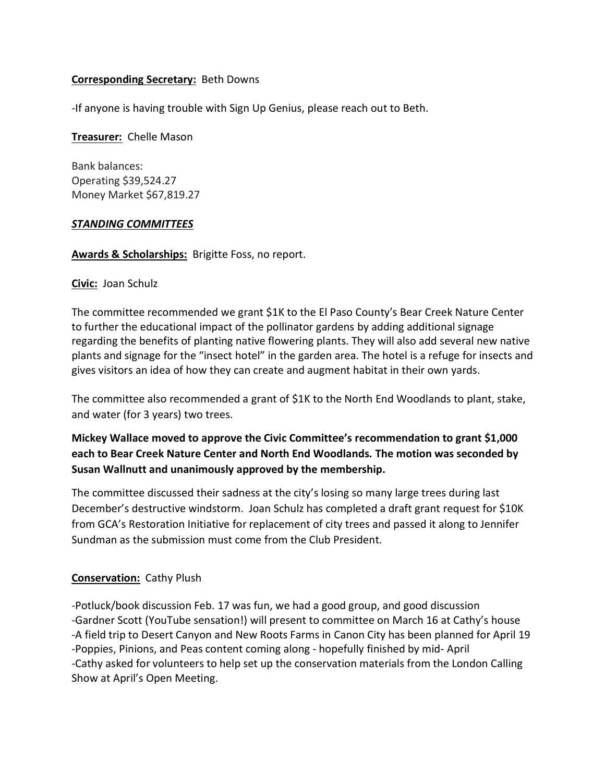# **Corresponding Secretary:** Beth Downs

-If anyone is having trouble with Sign Up Genius, please reach out to Beth.

#### **Treasurer:** Chelle Mason

Bank balances: Operating \$39,524.27 Money Market \$67,819.27

### *STANDING COMMITTEES*

**Awards & Scholarships:** Brigitte Foss, no report.

### **Civic:** Joan Schulz

The committee recommended we grant \$1K to the El Paso County's Bear Creek Nature Center to further the educational impact of the pollinator gardens by adding additional signage regarding the benefits of planting native flowering plants. They will also add several new native plants and signage for the "insect hotel" in the garden area. The hotel is a refuge for insects and gives visitors an idea of how they can create and augment habitat in their own yards.

The committee also recommended a grant of \$1K to the North End Woodlands to plant, stake, and water (for 3 years) two trees.

# **Mickey Wallace moved to approve the Civic Committee's recommendation to grant \$1,000 each to Bear Creek Nature Center and North End Woodlands. The motion was seconded by Susan Wallnutt and unanimously approved by the membership.**

The committee discussed their sadness at the city's losing so many large trees during last December's destructive windstorm. Joan Schulz has completed a draft grant request for \$10K from GCA's Restoration Initiative for replacement of city trees and passed it along to Jennifer Sundman as the submission must come from the Club President.

# **Conservation:** Cathy Plush

-Potluck/book discussion Feb. 17 was fun, we had a good group, and good discussion -Gardner Scott (YouTube sensation!) will present to committee on March 16 at Cathy's house -A field trip to Desert Canyon and New Roots Farms in Canon City has been planned for April 19 -Poppies, Pinions, and Peas content coming along - hopefully finished by mid- April -Cathy asked for volunteers to help set up the conservation materials from the London Calling Show at April's Open Meeting.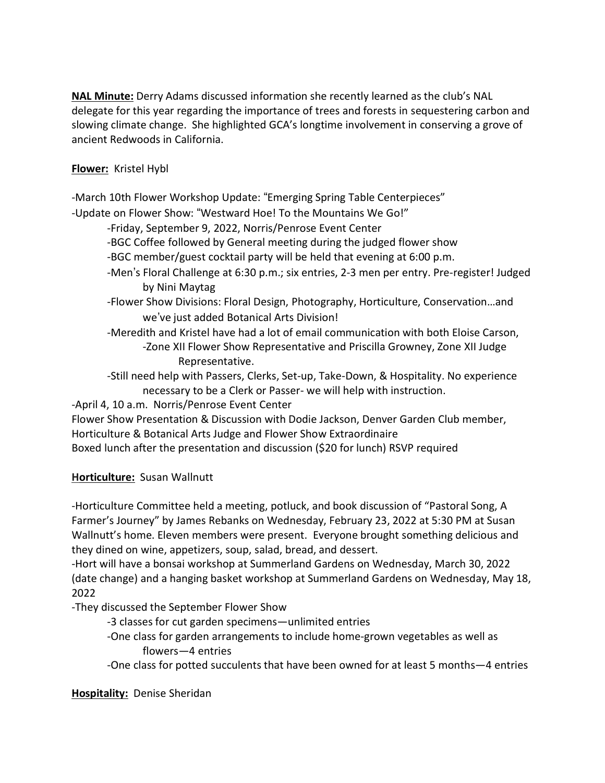**NAL Minute:** Derry Adams discussed information she recently learned as the club's NAL delegate for this year regarding the importance of trees and forests in sequestering carbon and slowing climate change. She highlighted GCA's longtime involvement in conserving a grove of ancient Redwoods in California.

# **Flower:** Kristel Hybl

-March 10th Flower Workshop Update: "Emerging Spring Table Centerpieces"

-Update on Flower Show: "Westward Hoe! To the Mountains We Go!"

-Friday, September 9, 2022, Norris/Penrose Event Center

-BGC Coffee followed by General meeting during the judged flower show

-BGC member/guest cocktail party will be held that evening at 6:00 p.m.

- -Men's Floral Challenge at 6:30 p.m.; six entries, 2-3 men per entry. Pre-register! Judged by Nini Maytag
- -Flower Show Divisions: Floral Design, Photography, Horticulture, Conservation…and we've just added Botanical Arts Division!
- -Meredith and Kristel have had a lot of email communication with both Eloise Carson, -Zone XII Flower Show Representative and Priscilla Growney, Zone XII Judge Representative.

-Still need help with Passers, Clerks, Set-up, Take-Down, & Hospitality. No experience necessary to be a Clerk or Passer- we will help with instruction.

-April 4, 10 a.m. Norris/Penrose Event Center

Flower Show Presentation & Discussion with Dodie Jackson, Denver Garden Club member, Horticulture & Botanical Arts Judge and Flower Show Extraordinaire Boxed lunch after the presentation and discussion (\$20 for lunch) RSVP required

**Horticulture:** Susan Wallnutt

-Horticulture Committee held a meeting, potluck, and book discussion of "Pastoral Song, A Farmer's Journey" by James Rebanks on Wednesday, February 23, 2022 at 5:30 PM at Susan Wallnutt's home. Eleven members were present. Everyone brought something delicious and they dined on wine, appetizers, soup, salad, bread, and dessert.

-Hort will have a bonsai workshop at Summerland Gardens on Wednesday, March 30, 2022 (date change) and a hanging basket workshop at Summerland Gardens on Wednesday, May 18, 2022

-They discussed the September Flower Show

- -3 classes for cut garden specimens—unlimited entries
- -One class for garden arrangements to include home-grown vegetables as well as flowers—4 entries

-One class for potted succulents that have been owned for at least 5 months—4 entries

**Hospitality:** Denise Sheridan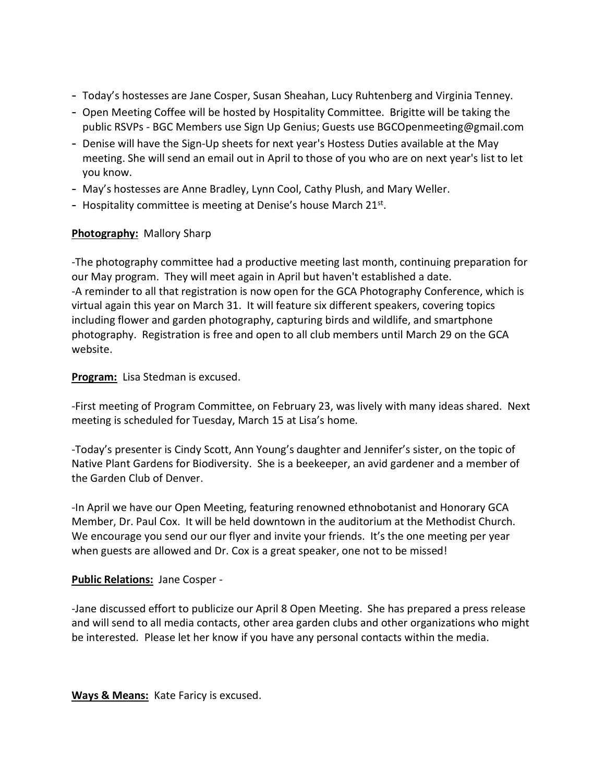- Today's hostesses are Jane Cosper, Susan Sheahan, Lucy Ruhtenberg and Virginia Tenney.
- Open Meeting Coffee will be hosted by Hospitality Committee. Brigitte will be taking the public RSVPs - BGC Members use Sign Up Genius; Guests use BGCOpenmeeting@gmail.com
- Denise will have the Sign-Up sheets for next year's Hostess Duties available at the May meeting. She will send an email out in April to those of you who are on next year's list to let you know.
- May's hostesses are Anne Bradley, Lynn Cool, Cathy Plush, and Mary Weller.
- Hospitality committee is meeting at Denise's house March 21<sup>st</sup>.

# **Photography:** Mallory Sharp

-The photography committee had a productive meeting last month, continuing preparation for our May program. They will meet again in April but haven't established a date. -A reminder to all that registration is now open for the GCA Photography Conference, which is virtual again this year on March 31. It will feature six different speakers, covering topics including flower and garden photography, capturing birds and wildlife, and smartphone photography. Registration is free and open to all club members until March 29 on the GCA website.

**Program:** Lisa Stedman is excused.

-First meeting of Program Committee, on February 23, was lively with many ideas shared. Next meeting is scheduled for Tuesday, March 15 at Lisa's home.

-Today's presenter is Cindy Scott, Ann Young's daughter and Jennifer's sister, on the topic of Native Plant Gardens for Biodiversity. She is a beekeeper, an avid gardener and a member of the Garden Club of Denver.

-In April we have our Open Meeting, featuring renowned ethnobotanist and Honorary GCA Member, Dr. Paul Cox. It will be held downtown in the auditorium at the Methodist Church. We encourage you send our our flyer and invite your friends. It's the one meeting per year when guests are allowed and Dr. Cox is a great speaker, one not to be missed!

### **Public Relations:** Jane Cosper -

-Jane discussed effort to publicize our April 8 Open Meeting. She has prepared a press release and will send to all media contacts, other area garden clubs and other organizations who might be interested. Please let her know if you have any personal contacts within the media.

**Ways & Means:** Kate Faricy is excused.